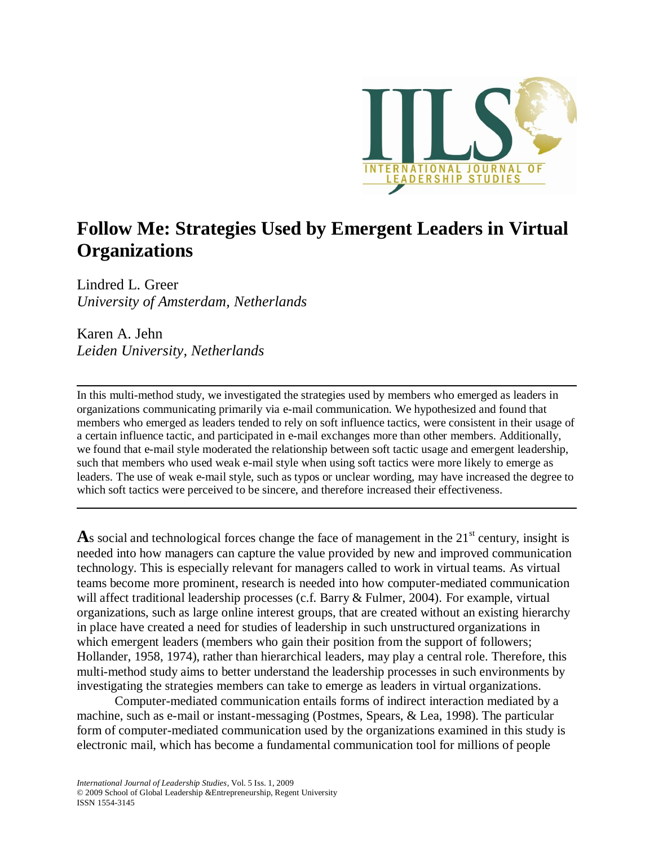

# **Follow Me: Strategies Used by Emergent Leaders in Virtual Organizations**

Lindred L. Greer *University of Amsterdam, Netherlands*

Karen A. Jehn *Leiden University, Netherlands*

In this multi-method study, we investigated the strategies used by members who emerged as leaders in organizations communicating primarily via e-mail communication. We hypothesized and found that members who emerged as leaders tended to rely on soft influence tactics, were consistent in their usage of a certain influence tactic, and participated in e-mail exchanges more than other members. Additionally, we found that e-mail style moderated the relationship between soft tactic usage and emergent leadership, such that members who used weak e-mail style when using soft tactics were more likely to emerge as leaders. The use of weak e-mail style, such as typos or unclear wording, may have increased the degree to which soft tactics were perceived to be sincere, and therefore increased their effectiveness.

As social and technological forces change the face of management in the 21<sup>st</sup> century, insight is needed into how managers can capture the value provided by new and improved communication technology. This is especially relevant for managers called to work in virtual teams. As virtual teams become more prominent, research is needed into how computer-mediated communication will affect traditional leadership processes (c.f. Barry & Fulmer, 2004). For example, virtual organizations, such as large online interest groups, that are created without an existing hierarchy in place have created a need for studies of leadership in such unstructured organizations in which emergent leaders (members who gain their position from the support of followers; Hollander, 1958, 1974), rather than hierarchical leaders, may play a central role. Therefore, this multi-method study aims to better understand the leadership processes in such environments by investigating the strategies members can take to emerge as leaders in virtual organizations.

Computer-mediated communication entails forms of indirect interaction mediated by a machine, such as e-mail or instant-messaging (Postmes, Spears, & Lea, 1998). The particular form of computer-mediated communication used by the organizations examined in this study is electronic mail, which has become a fundamental communication tool for millions of people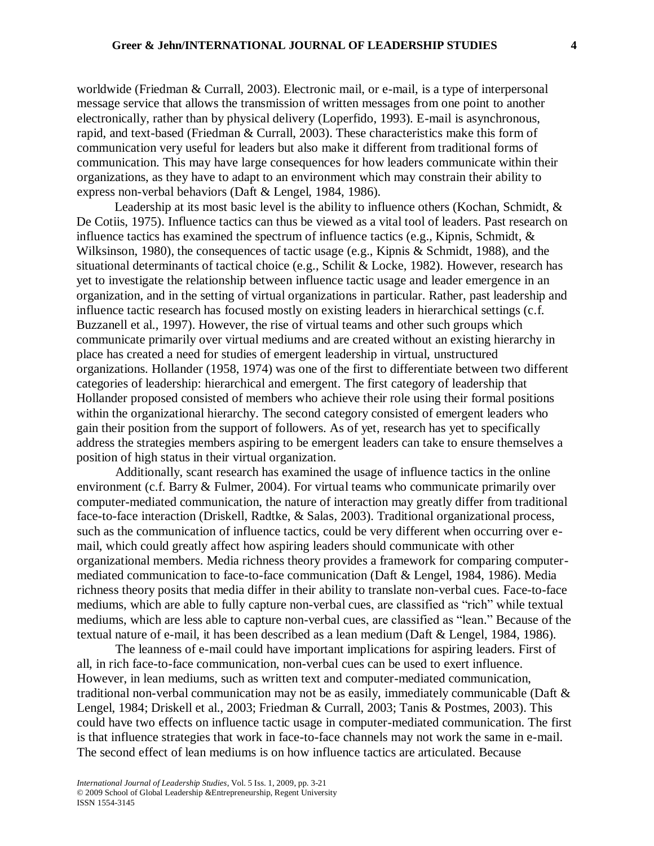worldwide (Friedman & Currall, 2003). Electronic mail, or e-mail, is a type of interpersonal message service that allows the transmission of written messages from one point to another electronically, rather than by physical delivery (Loperfido, 1993). E-mail is asynchronous, rapid, and text-based (Friedman & Currall, 2003). These characteristics make this form of communication very useful for leaders but also make it different from traditional forms of communication. This may have large consequences for how leaders communicate within their organizations, as they have to adapt to an environment which may constrain their ability to express non-verbal behaviors (Daft & Lengel, 1984, 1986).

Leadership at its most basic level is the ability to influence others (Kochan, Schmidt, & De Cotiis, 1975). Influence tactics can thus be viewed as a vital tool of leaders. Past research on influence tactics has examined the spectrum of influence tactics (e.g., Kipnis, Schmidt, & Wilksinson, 1980), the consequences of tactic usage (e.g., Kipnis & Schmidt, 1988), and the situational determinants of tactical choice (e.g., Schilit & Locke, 1982). However, research has yet to investigate the relationship between influence tactic usage and leader emergence in an organization, and in the setting of virtual organizations in particular. Rather, past leadership and influence tactic research has focused mostly on existing leaders in hierarchical settings (c.f. Buzzanell et al., 1997). However, the rise of virtual teams and other such groups which communicate primarily over virtual mediums and are created without an existing hierarchy in place has created a need for studies of emergent leadership in virtual, unstructured organizations. Hollander (1958, 1974) was one of the first to differentiate between two different categories of leadership: hierarchical and emergent. The first category of leadership that Hollander proposed consisted of members who achieve their role using their formal positions within the organizational hierarchy. The second category consisted of emergent leaders who gain their position from the support of followers. As of yet, research has yet to specifically address the strategies members aspiring to be emergent leaders can take to ensure themselves a position of high status in their virtual organization.

Additionally, scant research has examined the usage of influence tactics in the online environment (c.f. Barry & Fulmer, 2004). For virtual teams who communicate primarily over computer-mediated communication, the nature of interaction may greatly differ from traditional face-to-face interaction (Driskell, Radtke, & Salas, 2003). Traditional organizational process, such as the communication of influence tactics, could be very different when occurring over email, which could greatly affect how aspiring leaders should communicate with other organizational members. Media richness theory provides a framework for comparing computermediated communication to face-to-face communication (Daft & Lengel, 1984, 1986). Media richness theory posits that media differ in their ability to translate non-verbal cues. Face-to-face mediums, which are able to fully capture non-verbal cues, are classified as "rich" while textual mediums, which are less able to capture non-verbal cues, are classified as "lean." Because of the textual nature of e-mail, it has been described as a lean medium (Daft & Lengel, 1984, 1986).

The leanness of e-mail could have important implications for aspiring leaders. First of all, in rich face-to-face communication, non-verbal cues can be used to exert influence. However, in lean mediums, such as written text and computer-mediated communication, traditional non-verbal communication may not be as easily, immediately communicable (Daft & Lengel, 1984; Driskell et al., 2003; Friedman & Currall, 2003; Tanis & Postmes, 2003). This could have two effects on influence tactic usage in computer-mediated communication. The first is that influence strategies that work in face-to-face channels may not work the same in e-mail. The second effect of lean mediums is on how influence tactics are articulated. Because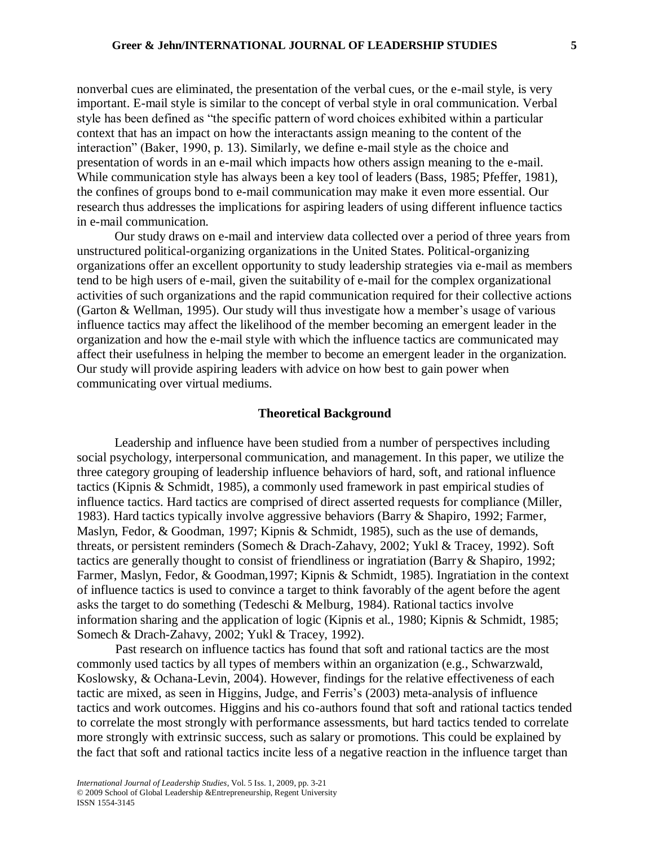nonverbal cues are eliminated, the presentation of the verbal cues, or the e-mail style, is very important. E-mail style is similar to the concept of verbal style in oral communication. Verbal style has been defined as "the specific pattern of word choices exhibited within a particular context that has an impact on how the interactants assign meaning to the content of the interaction" (Baker, 1990, p. 13). Similarly, we define e-mail style as the choice and presentation of words in an e-mail which impacts how others assign meaning to the e-mail. While communication style has always been a key tool of leaders (Bass, 1985; Pfeffer, 1981), the confines of groups bond to e-mail communication may make it even more essential. Our research thus addresses the implications for aspiring leaders of using different influence tactics in e-mail communication.

Our study draws on e-mail and interview data collected over a period of three years from unstructured political-organizing organizations in the United States. Political-organizing organizations offer an excellent opportunity to study leadership strategies via e-mail as members tend to be high users of e-mail, given the suitability of e-mail for the complex organizational activities of such organizations and the rapid communication required for their collective actions (Garton & Wellman, 1995). Our study will thus investigate how a member's usage of various influence tactics may affect the likelihood of the member becoming an emergent leader in the organization and how the e-mail style with which the influence tactics are communicated may affect their usefulness in helping the member to become an emergent leader in the organization. Our study will provide aspiring leaders with advice on how best to gain power when communicating over virtual mediums.

## **Theoretical Background**

Leadership and influence have been studied from a number of perspectives including social psychology, interpersonal communication, and management. In this paper, we utilize the three category grouping of leadership influence behaviors of hard, soft, and rational influence tactics (Kipnis & Schmidt, 1985), a commonly used framework in past empirical studies of influence tactics. Hard tactics are comprised of direct asserted requests for compliance (Miller, 1983). Hard tactics typically involve aggressive behaviors (Barry & Shapiro, 1992; Farmer, Maslyn, Fedor, & Goodman, 1997; Kipnis & Schmidt, 1985), such as the use of demands, threats, or persistent reminders (Somech & Drach-Zahavy, 2002; Yukl & Tracey, 1992). Soft tactics are generally thought to consist of friendliness or ingratiation (Barry & Shapiro, 1992; Farmer, Maslyn, Fedor, & Goodman,1997; Kipnis & Schmidt, 1985). Ingratiation in the context of influence tactics is used to convince a target to think favorably of the agent before the agent asks the target to do something (Tedeschi & Melburg, 1984). Rational tactics involve information sharing and the application of logic (Kipnis et al., 1980; Kipnis & Schmidt, 1985; Somech & Drach-Zahavy, 2002; Yukl & Tracey, 1992).

Past research on influence tactics has found that soft and rational tactics are the most commonly used tactics by all types of members within an organization (e.g., Schwarzwald, Koslowsky, & Ochana-Levin, 2004). However, findings for the relative effectiveness of each tactic are mixed, as seen in Higgins, Judge, and Ferris's (2003) meta-analysis of influence tactics and work outcomes. Higgins and his co-authors found that soft and rational tactics tended to correlate the most strongly with performance assessments, but hard tactics tended to correlate more strongly with extrinsic success, such as salary or promotions. This could be explained by the fact that soft and rational tactics incite less of a negative reaction in the influence target than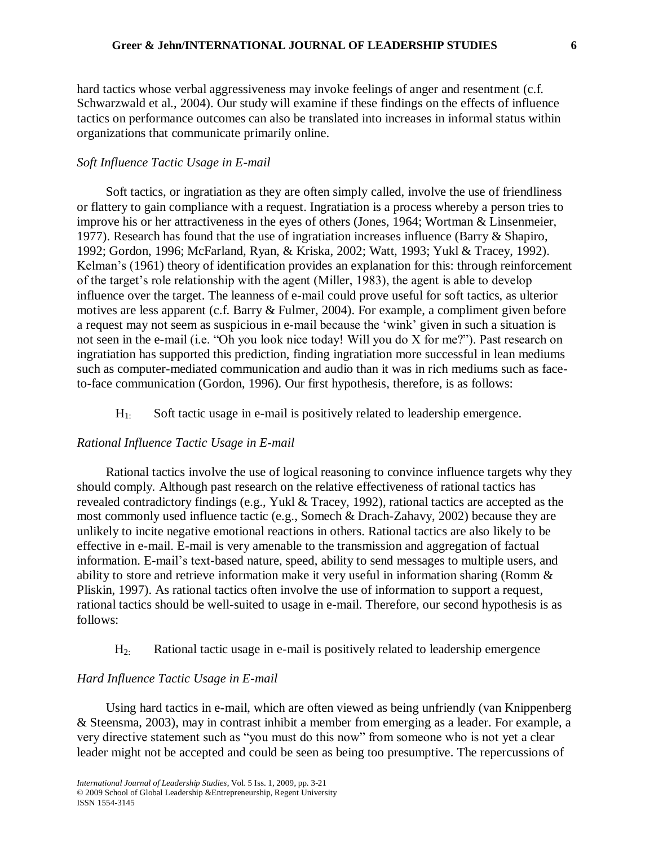hard tactics whose verbal aggressiveness may invoke feelings of anger and resentment (c.f. Schwarzwald et al., 2004). Our study will examine if these findings on the effects of influence tactics on performance outcomes can also be translated into increases in informal status within organizations that communicate primarily online.

## *Soft Influence Tactic Usage in E-mail*

Soft tactics, or ingratiation as they are often simply called, involve the use of friendliness or flattery to gain compliance with a request. Ingratiation is a process whereby a person tries to improve his or her attractiveness in the eyes of others (Jones, 1964; Wortman & Linsenmeier, 1977). Research has found that the use of ingratiation increases influence (Barry & Shapiro, 1992; Gordon, 1996; McFarland, Ryan, & Kriska, 2002; Watt, 1993; Yukl & Tracey, 1992). Kelman's (1961) theory of identification provides an explanation for this: through reinforcement of the target's role relationship with the agent (Miller, 1983), the agent is able to develop influence over the target. The leanness of e-mail could prove useful for soft tactics, as ulterior motives are less apparent (c.f. Barry & Fulmer, 2004). For example, a compliment given before a request may not seem as suspicious in e-mail because the 'wink' given in such a situation is not seen in the e-mail (i.e. "Oh you look nice today! Will you do X for me?"). Past research on ingratiation has supported this prediction, finding ingratiation more successful in lean mediums such as computer-mediated communication and audio than it was in rich mediums such as faceto-face communication (Gordon, 1996). Our first hypothesis, therefore, is as follows:

 $H<sub>1</sub>$ . Soft tactic usage in e-mail is positively related to leadership emergence.

## *Rational Influence Tactic Usage in E-mail*

Rational tactics involve the use of logical reasoning to convince influence targets why they should comply*.* Although past research on the relative effectiveness of rational tactics has revealed contradictory findings (e.g., Yukl & Tracey, 1992), rational tactics are accepted as the most commonly used influence tactic (e.g., Somech & Drach-Zahavy, 2002) because they are unlikely to incite negative emotional reactions in others. Rational tactics are also likely to be effective in e-mail. E-mail is very amenable to the transmission and aggregation of factual information. E-mail's text-based nature, speed, ability to send messages to multiple users, and ability to store and retrieve information make it very useful in information sharing (Romm & Pliskin, 1997). As rational tactics often involve the use of information to support a request, rational tactics should be well-suited to usage in e-mail. Therefore, our second hypothesis is as follows:

 $H<sub>2</sub>$ : Rational tactic usage in e-mail is positively related to leadership emergence

# *Hard Influence Tactic Usage in E-mail*

Using hard tactics in e-mail, which are often viewed as being unfriendly (van Knippenberg & Steensma, 2003), may in contrast inhibit a member from emerging as a leader. For example, a very directive statement such as "you must do this now" from someone who is not yet a clear leader might not be accepted and could be seen as being too presumptive. The repercussions of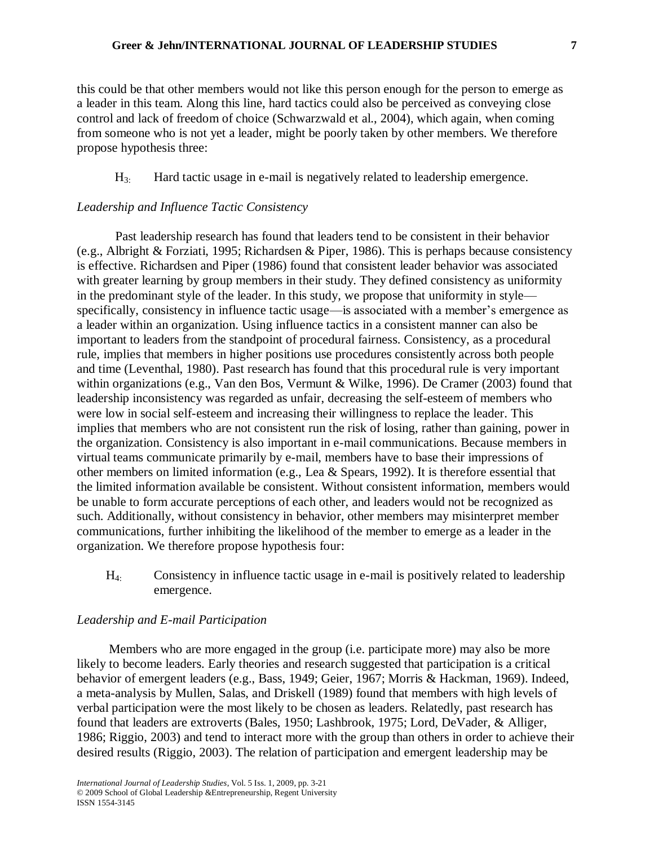this could be that other members would not like this person enough for the person to emerge as a leader in this team. Along this line, hard tactics could also be perceived as conveying close control and lack of freedom of choice (Schwarzwald et al., 2004), which again, when coming from someone who is not yet a leader, might be poorly taken by other members. We therefore propose hypothesis three:

 $H<sub>3</sub>$ . Hard tactic usage in e-mail is negatively related to leadership emergence.

## *Leadership and Influence Tactic Consistency*

Past leadership research has found that leaders tend to be consistent in their behavior (e.g., Albright & Forziati, 1995; Richardsen & Piper, 1986). This is perhaps because consistency is effective. Richardsen and Piper (1986) found that consistent leader behavior was associated with greater learning by group members in their study. They defined consistency as uniformity in the predominant style of the leader. In this study, we propose that uniformity in style specifically, consistency in influence tactic usage—is associated with a member's emergence as a leader within an organization. Using influence tactics in a consistent manner can also be important to leaders from the standpoint of procedural fairness. Consistency, as a procedural rule, implies that members in higher positions use procedures consistently across both people and time (Leventhal, 1980). Past research has found that this procedural rule is very important within organizations (e.g., Van den Bos, Vermunt & Wilke, 1996). De Cramer (2003) found that leadership inconsistency was regarded as unfair, decreasing the self-esteem of members who were low in social self-esteem and increasing their willingness to replace the leader. This implies that members who are not consistent run the risk of losing, rather than gaining, power in the organization. Consistency is also important in e-mail communications. Because members in virtual teams communicate primarily by e-mail, members have to base their impressions of other members on limited information (e.g., Lea & Spears, 1992). It is therefore essential that the limited information available be consistent. Without consistent information, members would be unable to form accurate perceptions of each other, and leaders would not be recognized as such. Additionally, without consistency in behavior, other members may misinterpret member communications, further inhibiting the likelihood of the member to emerge as a leader in the organization. We therefore propose hypothesis four:

H4: Consistency in influence tactic usage in e-mail is positively related to leadership emergence.

#### *Leadership and E-mail Participation*

Members who are more engaged in the group (i.e. participate more) may also be more likely to become leaders. Early theories and research suggested that participation is a critical behavior of emergent leaders (e.g., Bass, 1949; Geier, 1967; Morris & Hackman, 1969). Indeed, a meta-analysis by Mullen, Salas, and Driskell (1989) found that members with high levels of verbal participation were the most likely to be chosen as leaders. Relatedly, past research has found that leaders are extroverts (Bales, 1950; Lashbrook, 1975; Lord, DeVader, & Alliger, 1986; Riggio, 2003) and tend to interact more with the group than others in order to achieve their desired results (Riggio, 2003). The relation of participation and emergent leadership may be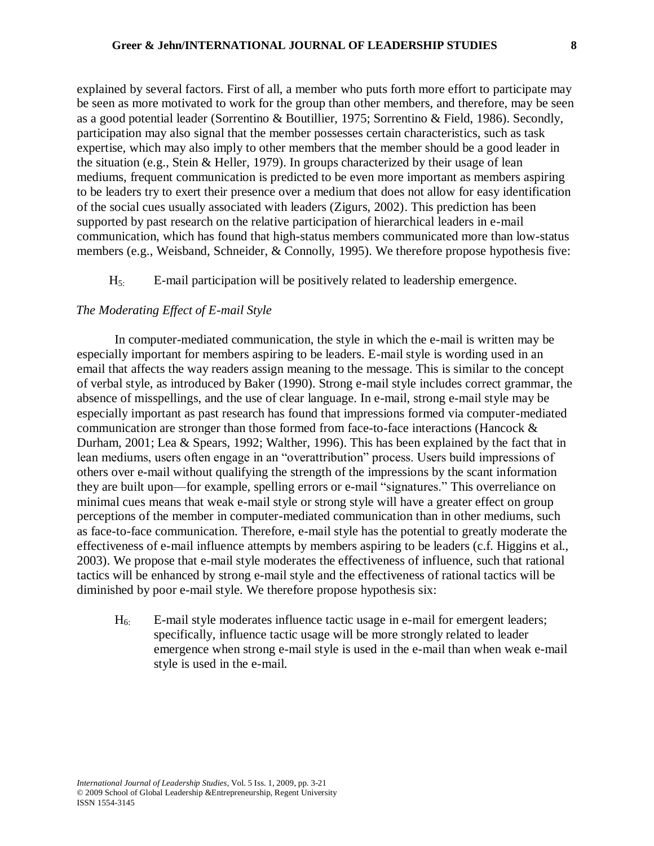explained by several factors. First of all, a member who puts forth more effort to participate may be seen as more motivated to work for the group than other members, and therefore, may be seen as a good potential leader (Sorrentino & Boutillier, 1975; Sorrentino & Field, 1986). Secondly, participation may also signal that the member possesses certain characteristics, such as task expertise, which may also imply to other members that the member should be a good leader in the situation (e.g., Stein & Heller, 1979). In groups characterized by their usage of lean mediums, frequent communication is predicted to be even more important as members aspiring to be leaders try to exert their presence over a medium that does not allow for easy identification of the social cues usually associated with leaders (Zigurs, 2002). This prediction has been supported by past research on the relative participation of hierarchical leaders in e-mail communication, which has found that high-status members communicated more than low-status members (e.g., Weisband, Schneider, & Connolly, 1995). We therefore propose hypothesis five:

 $H<sub>5</sub>$ : E-mail participation will be positively related to leadership emergence.

# *The Moderating Effect of E-mail Style*

In computer-mediated communication, the style in which the e-mail is written may be especially important for members aspiring to be leaders. E-mail style is wording used in an email that affects the way readers assign meaning to the message. This is similar to the concept of verbal style, as introduced by Baker (1990). Strong e-mail style includes correct grammar, the absence of misspellings, and the use of clear language. In e-mail, strong e-mail style may be especially important as past research has found that impressions formed via computer-mediated communication are stronger than those formed from face-to-face interactions (Hancock & Durham, 2001; Lea & Spears, 1992; Walther, 1996). This has been explained by the fact that in lean mediums, users often engage in an "overattribution" process. Users build impressions of others over e-mail without qualifying the strength of the impressions by the scant information they are built upon—for example, spelling errors or e-mail "signatures." This overreliance on minimal cues means that weak e-mail style or strong style will have a greater effect on group perceptions of the member in computer-mediated communication than in other mediums, such as face-to-face communication. Therefore, e-mail style has the potential to greatly moderate the effectiveness of e-mail influence attempts by members aspiring to be leaders (c.f. Higgins et al., 2003). We propose that e-mail style moderates the effectiveness of influence, such that rational tactics will be enhanced by strong e-mail style and the effectiveness of rational tactics will be diminished by poor e-mail style. We therefore propose hypothesis six:

 $H<sub>6</sub>$ . E-mail style moderates influence tactic usage in e-mail for emergent leaders; specifically, influence tactic usage will be more strongly related to leader emergence when strong e-mail style is used in the e-mail than when weak e-mail style is used in the e-mail.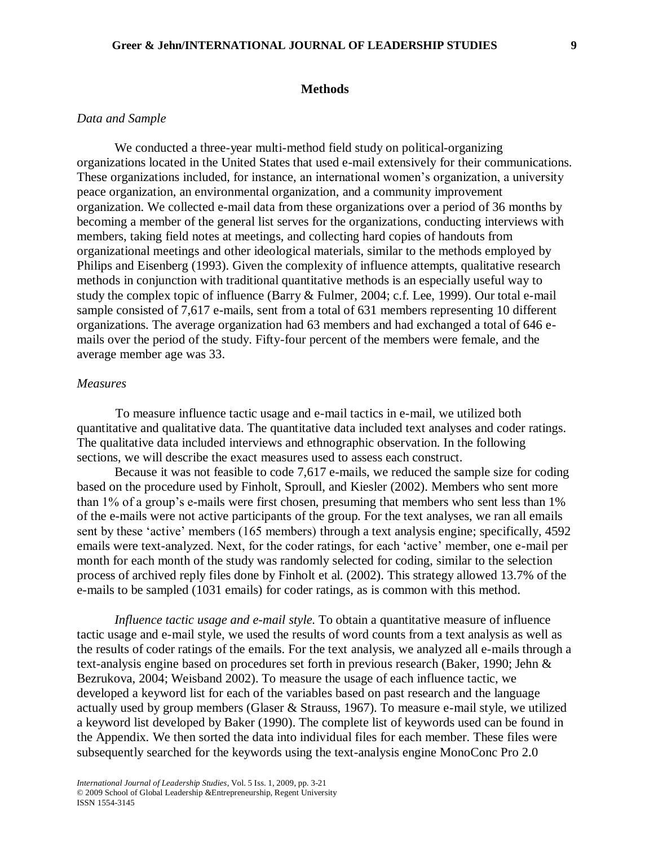#### **Methods**

## *Data and Sample*

We conducted a three-year multi-method field study on political-organizing organizations located in the United States that used e-mail extensively for their communications. These organizations included, for instance, an international women's organization, a university peace organization, an environmental organization, and a community improvement organization. We collected e-mail data from these organizations over a period of 36 months by becoming a member of the general list serves for the organizations, conducting interviews with members, taking field notes at meetings, and collecting hard copies of handouts from organizational meetings and other ideological materials, similar to the methods employed by Philips and Eisenberg (1993). Given the complexity of influence attempts, qualitative research methods in conjunction with traditional quantitative methods is an especially useful way to study the complex topic of influence (Barry & Fulmer, 2004; c.f. Lee, 1999). Our total e-mail sample consisted of 7,617 e-mails, sent from a total of 631 members representing 10 different organizations. The average organization had 63 members and had exchanged a total of 646 emails over the period of the study. Fifty-four percent of the members were female, and the average member age was 33.

#### *Measures*

To measure influence tactic usage and e-mail tactics in e-mail, we utilized both quantitative and qualitative data. The quantitative data included text analyses and coder ratings. The qualitative data included interviews and ethnographic observation. In the following sections, we will describe the exact measures used to assess each construct.

Because it was not feasible to code 7,617 e-mails, we reduced the sample size for coding based on the procedure used by Finholt, Sproull, and Kiesler (2002). Members who sent more than 1% of a group's e-mails were first chosen, presuming that members who sent less than 1% of the e-mails were not active participants of the group. For the text analyses, we ran all emails sent by these 'active' members (165 members) through a text analysis engine; specifically, 4592 emails were text-analyzed. Next, for the coder ratings, for each 'active' member, one e-mail per month for each month of the study was randomly selected for coding, similar to the selection process of archived reply files done by Finholt et al. (2002). This strategy allowed 13.7% of the e-mails to be sampled (1031 emails) for coder ratings, as is common with this method.

*Influence tactic usage and e-mail style.* To obtain a quantitative measure of influence tactic usage and e-mail style, we used the results of word counts from a text analysis as well as the results of coder ratings of the emails. For the text analysis, we analyzed all e-mails through a text-analysis engine based on procedures set forth in previous research (Baker, 1990; Jehn & Bezrukova, 2004; Weisband 2002). To measure the usage of each influence tactic, we developed a keyword list for each of the variables based on past research and the language actually used by group members (Glaser & Strauss, 1967). To measure e-mail style, we utilized a keyword list developed by Baker (1990). The complete list of keywords used can be found in the Appendix. We then sorted the data into individual files for each member. These files were subsequently searched for the keywords using the text-analysis engine MonoConc Pro 2.0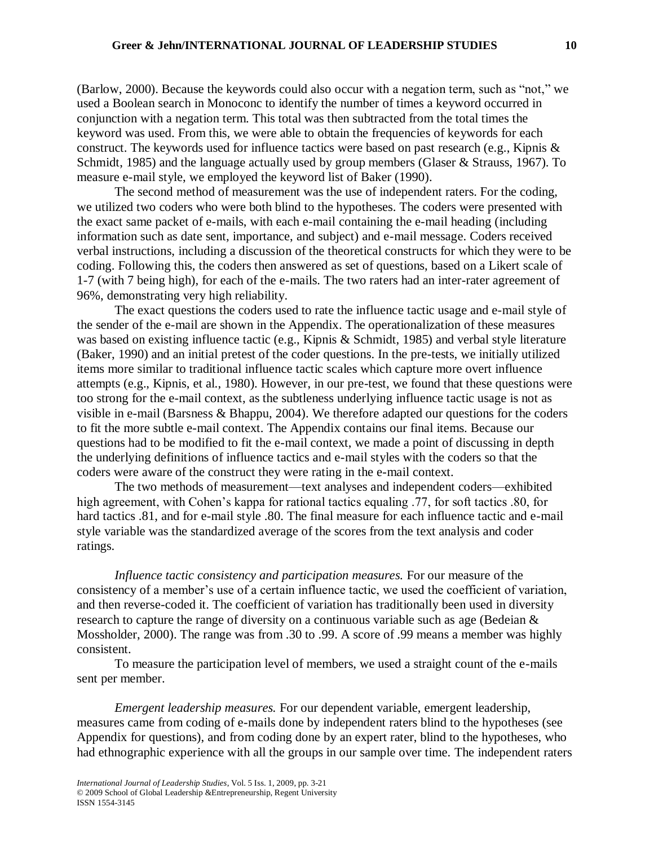(Barlow, 2000). Because the keywords could also occur with a negation term, such as "not," we used a Boolean search in Monoconc to identify the number of times a keyword occurred in conjunction with a negation term. This total was then subtracted from the total times the keyword was used. From this, we were able to obtain the frequencies of keywords for each construct. The keywords used for influence tactics were based on past research (e.g., Kipnis & Schmidt, 1985) and the language actually used by group members (Glaser & Strauss, 1967). To measure e-mail style, we employed the keyword list of Baker (1990).

The second method of measurement was the use of independent raters. For the coding, we utilized two coders who were both blind to the hypotheses. The coders were presented with the exact same packet of e-mails, with each e-mail containing the e-mail heading (including information such as date sent, importance, and subject) and e-mail message. Coders received verbal instructions, including a discussion of the theoretical constructs for which they were to be coding. Following this, the coders then answered as set of questions, based on a Likert scale of 1-7 (with 7 being high), for each of the e-mails. The two raters had an inter-rater agreement of 96%, demonstrating very high reliability.

The exact questions the coders used to rate the influence tactic usage and e-mail style of the sender of the e-mail are shown in the Appendix. The operationalization of these measures was based on existing influence tactic (e.g., Kipnis & Schmidt, 1985) and verbal style literature (Baker, 1990) and an initial pretest of the coder questions. In the pre-tests, we initially utilized items more similar to traditional influence tactic scales which capture more overt influence attempts (e.g., Kipnis, et al., 1980). However, in our pre-test, we found that these questions were too strong for the e-mail context, as the subtleness underlying influence tactic usage is not as visible in e-mail (Barsness & Bhappu, 2004). We therefore adapted our questions for the coders to fit the more subtle e-mail context. The Appendix contains our final items. Because our questions had to be modified to fit the e-mail context, we made a point of discussing in depth the underlying definitions of influence tactics and e-mail styles with the coders so that the coders were aware of the construct they were rating in the e-mail context.

The two methods of measurement—text analyses and independent coders—exhibited high agreement, with Cohen's kappa for rational tactics equaling .77, for soft tactics .80, for hard tactics .81, and for e-mail style .80. The final measure for each influence tactic and e-mail style variable was the standardized average of the scores from the text analysis and coder ratings.

*Influence tactic consistency and participation measures.* For our measure of the consistency of a member's use of a certain influence tactic, we used the coefficient of variation, and then reverse-coded it. The coefficient of variation has traditionally been used in diversity research to capture the range of diversity on a continuous variable such as age (Bedeian & Mossholder, 2000). The range was from .30 to .99. A score of .99 means a member was highly consistent.

To measure the participation level of members, we used a straight count of the e-mails sent per member.

*Emergent leadership measures.* For our dependent variable, emergent leadership, measures came from coding of e-mails done by independent raters blind to the hypotheses (see Appendix for questions), and from coding done by an expert rater, blind to the hypotheses, who had ethnographic experience with all the groups in our sample over time. The independent raters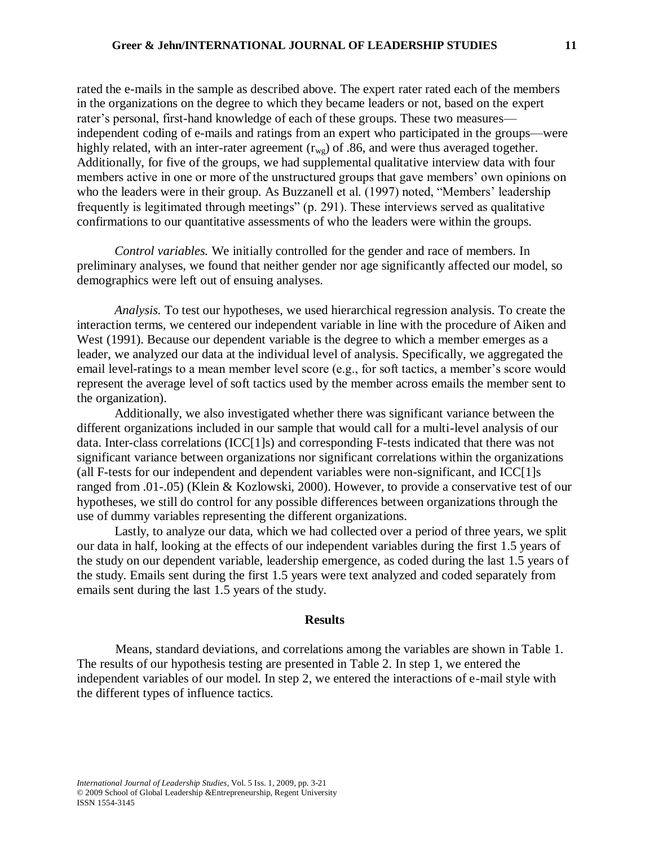rated the e-mails in the sample as described above. The expert rater rated each of the members in the organizations on the degree to which they became leaders or not, based on the expert rater's personal, first-hand knowledge of each of these groups. These two measures independent coding of e-mails and ratings from an expert who participated in the groups—were highly related, with an inter-rater agreement  $(r_{wg})$  of .86, and were thus averaged together. Additionally, for five of the groups, we had supplemental qualitative interview data with four members active in one or more of the unstructured groups that gave members' own opinions on who the leaders were in their group. As Buzzanell et al. (1997) noted, "Members' leadership frequently is legitimated through meetings" (p. 291). These interviews served as qualitative confirmations to our quantitative assessments of who the leaders were within the groups.

*Control variables.* We initially controlled for the gender and race of members. In preliminary analyses, we found that neither gender nor age significantly affected our model, so demographics were left out of ensuing analyses.

*Analysis.* To test our hypotheses, we used hierarchical regression analysis. To create the interaction terms, we centered our independent variable in line with the procedure of Aiken and West (1991). Because our dependent variable is the degree to which a member emerges as a leader, we analyzed our data at the individual level of analysis. Specifically, we aggregated the email level-ratings to a mean member level score (e.g., for soft tactics, a member's score would represent the average level of soft tactics used by the member across emails the member sent to the organization).

Additionally, we also investigated whether there was significant variance between the different organizations included in our sample that would call for a multi-level analysis of our data. Inter-class correlations (ICC[1]s) and corresponding F-tests indicated that there was not significant variance between organizations nor significant correlations within the organizations (all F-tests for our independent and dependent variables were non-significant, and ICC[1]s ranged from .01-.05) (Klein & Kozlowski, 2000). However, to provide a conservative test of our hypotheses, we still do control for any possible differences between organizations through the use of dummy variables representing the different organizations.

Lastly, to analyze our data, which we had collected over a period of three years, we split our data in half, looking at the effects of our independent variables during the first 1.5 years of the study on our dependent variable, leadership emergence, as coded during the last 1.5 years of the study. Emails sent during the first 1.5 years were text analyzed and coded separately from emails sent during the last 1.5 years of the study.

## **Results**

Means, standard deviations, and correlations among the variables are shown in Table 1. The results of our hypothesis testing are presented in Table 2. In step 1, we entered the independent variables of our model. In step 2, we entered the interactions of e-mail style with the different types of influence tactics.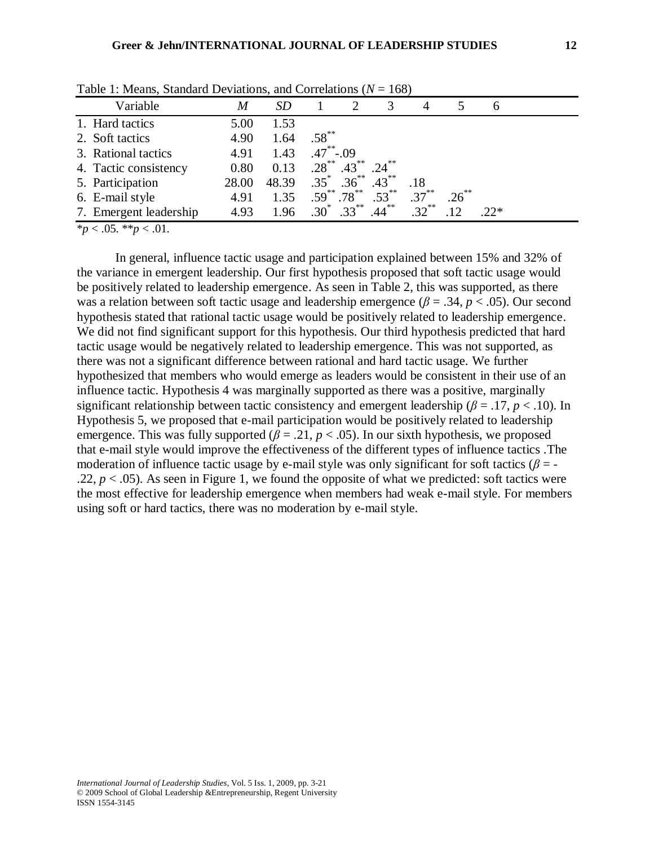| Variable               | M     | <i>SD</i> |              |                    | 3        | $\overline{4}$ |          | $\mathfrak b$ |  |
|------------------------|-------|-----------|--------------|--------------------|----------|----------------|----------|---------------|--|
| 1. Hard tactics        | 5.00  | 1.53      |              |                    |          |                |          |               |  |
| 2. Soft tactics        | 4.90  | 1.64      | $.58***$     |                    |          |                |          |               |  |
| 3. Rational tactics    | 4.91  | 1.43      | $.47$ $-.09$ |                    |          |                |          |               |  |
| 4. Tactic consistency  | 0.80  | 0.13      | $.28***$     | $.43***$           | $.24***$ |                |          |               |  |
| 5. Participation       | 28.00 | 48.39     |              | $.35^*$ $.36^{**}$ | $.43***$ | .18            |          |               |  |
| 6. E-mail style        | 4.91  | 1.35      |              | $.59^{**}.78^{**}$ | $.53***$ | $.37***$       | $.26***$ |               |  |
| 7. Emergent leadership | 4.93  | 1.96      |              | $.30^*$ $.33^{**}$ | $.44***$ | $.32***$       |          | $22*$         |  |

Table 1: Means, Standard Deviations, and Correlations (*N* = 168)

\**p* < .05. \*\**p* < .01.

In general, influence tactic usage and participation explained between 15% and 32% of the variance in emergent leadership. Our first hypothesis proposed that soft tactic usage would be positively related to leadership emergence. As seen in Table 2, this was supported, as there was a relation between soft tactic usage and leadership emergence (*β* = .34, *p* < .05). Our second hypothesis stated that rational tactic usage would be positively related to leadership emergence. We did not find significant support for this hypothesis. Our third hypothesis predicted that hard tactic usage would be negatively related to leadership emergence. This was not supported, as there was not a significant difference between rational and hard tactic usage. We further hypothesized that members who would emerge as leaders would be consistent in their use of an influence tactic. Hypothesis 4 was marginally supported as there was a positive, marginally significant relationship between tactic consistency and emergent leadership ( $\beta$  = .17,  $p$  < .10). In Hypothesis 5, we proposed that e-mail participation would be positively related to leadership emergence. This was fully supported ( $\beta$  = .21,  $p$  < .05). In our sixth hypothesis, we proposed that e-mail style would improve the effectiveness of the different types of influence tactics .The moderation of influence tactic usage by e-mail style was only significant for soft tactics ( $\beta$  = -.22,  $p < .05$ ). As seen in Figure 1, we found the opposite of what we predicted: soft tactics were the most effective for leadership emergence when members had weak e-mail style. For members using soft or hard tactics, there was no moderation by e-mail style.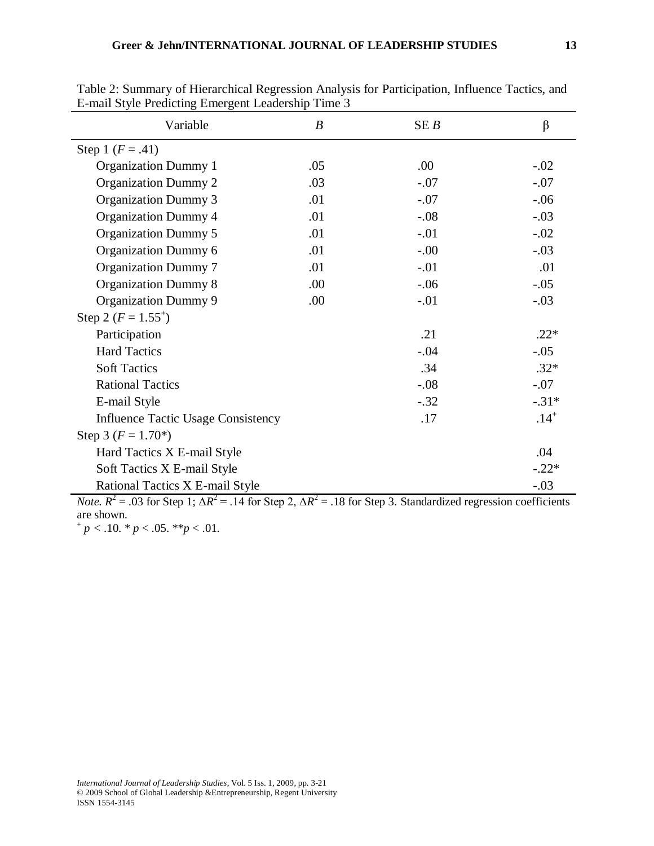| Variable                                  | $\boldsymbol{B}$ | SEB     | $\beta$   |  |  |
|-------------------------------------------|------------------|---------|-----------|--|--|
| Step 1 $(F = .41)$                        |                  |         |           |  |  |
| <b>Organization Dummy 1</b>               | .05              | .00     | $-.02$    |  |  |
| <b>Organization Dummy 2</b>               | .03              | $-.07$  | $-.07$    |  |  |
| <b>Organization Dummy 3</b>               | .01              | $-.07$  | $-.06$    |  |  |
| <b>Organization Dummy 4</b>               | .01              | $-.08$  | $-.03$    |  |  |
| <b>Organization Dummy 5</b>               | .01              | $-.01$  | $-.02$    |  |  |
| Organization Dummy 6                      | .01              | $-0.00$ | $-.03$    |  |  |
| <b>Organization Dummy 7</b>               | .01              | $-.01$  | .01       |  |  |
| <b>Organization Dummy 8</b>               | .00.             | $-.06$  | $-.05$    |  |  |
| <b>Organization Dummy 9</b>               | .00.             | $-.01$  | $-.03$    |  |  |
| Step 2 ( $F = 1.55^+$ )                   |                  |         |           |  |  |
| Participation                             |                  | .21     | $.22*$    |  |  |
| <b>Hard Tactics</b>                       |                  | $-.04$  | $-.05$    |  |  |
| <b>Soft Tactics</b>                       |                  | .34     | $.32*$    |  |  |
| <b>Rational Tactics</b>                   |                  | $-.08$  | $-.07$    |  |  |
| E-mail Style                              |                  | $-.32$  | $-.31*$   |  |  |
| <b>Influence Tactic Usage Consistency</b> |                  | .17     | $.14^{+}$ |  |  |
| Step 3 $(F = 1.70^*)$                     |                  |         |           |  |  |
| Hard Tactics X E-mail Style               |                  |         | .04       |  |  |
| Soft Tactics X E-mail Style               |                  |         | $-.22*$   |  |  |
| Rational Tactics X E-mail Style           |                  |         | $-.03$    |  |  |

Table 2: Summary of Hierarchical Regression Analysis for Participation, Influence Tactics, and E-mail Style Predicting Emergent Leadership Time 3

*Note.*  $R^2 = .03$  for Step 1;  $\Delta R^2 = .14$  for Step 2,  $\Delta R^2 = .18$  for Step 3. Standardized regression coefficients are shown.

 $p < .10.$  \*  $p < .05.$  \*\* $p < .01$ .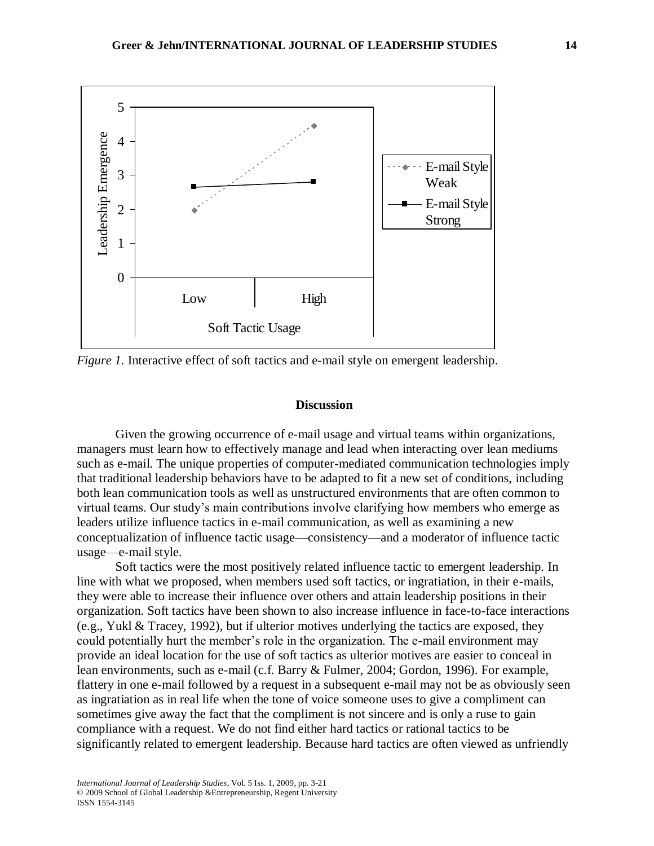

*Figure 1.* Interactive effect of soft tactics and e-mail style on emergent leadership.

## **Discussion**

Given the growing occurrence of e-mail usage and virtual teams within organizations, managers must learn how to effectively manage and lead when interacting over lean mediums such as e-mail. The unique properties of computer-mediated communication technologies imply that traditional leadership behaviors have to be adapted to fit a new set of conditions, including both lean communication tools as well as unstructured environments that are often common to virtual teams. Our study's main contributions involve clarifying how members who emerge as leaders utilize influence tactics in e-mail communication, as well as examining a new conceptualization of influence tactic usage—consistency—and a moderator of influence tactic usage—e-mail style.

Soft tactics were the most positively related influence tactic to emergent leadership. In line with what we proposed, when members used soft tactics, or ingratiation, in their e-mails, they were able to increase their influence over others and attain leadership positions in their organization. Soft tactics have been shown to also increase influence in face-to-face interactions (e.g., Yukl & Tracey, 1992), but if ulterior motives underlying the tactics are exposed, they could potentially hurt the member's role in the organization. The e-mail environment may provide an ideal location for the use of soft tactics as ulterior motives are easier to conceal in lean environments, such as e-mail (c.f. Barry & Fulmer, 2004; Gordon, 1996). For example, flattery in one e-mail followed by a request in a subsequent e-mail may not be as obviously seen as ingratiation as in real life when the tone of voice someone uses to give a compliment can sometimes give away the fact that the compliment is not sincere and is only a ruse to gain compliance with a request. We do not find either hard tactics or rational tactics to be significantly related to emergent leadership. Because hard tactics are often viewed as unfriendly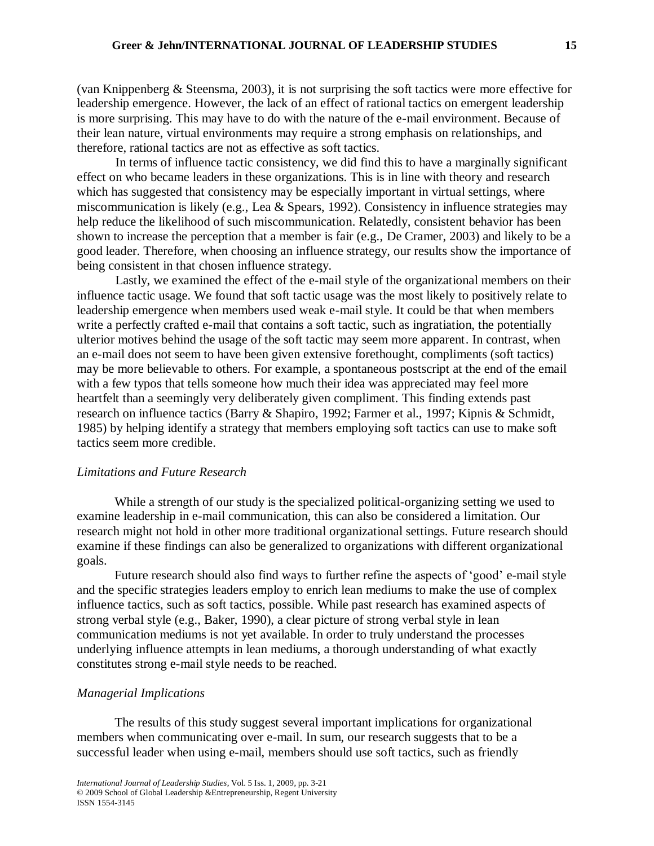(van Knippenberg & Steensma, 2003), it is not surprising the soft tactics were more effective for leadership emergence. However, the lack of an effect of rational tactics on emergent leadership is more surprising. This may have to do with the nature of the e-mail environment. Because of their lean nature, virtual environments may require a strong emphasis on relationships, and therefore, rational tactics are not as effective as soft tactics.

In terms of influence tactic consistency, we did find this to have a marginally significant effect on who became leaders in these organizations. This is in line with theory and research which has suggested that consistency may be especially important in virtual settings, where miscommunication is likely (e.g., Lea & Spears, 1992). Consistency in influence strategies may help reduce the likelihood of such miscommunication. Relatedly, consistent behavior has been shown to increase the perception that a member is fair (e.g., De Cramer, 2003) and likely to be a good leader. Therefore, when choosing an influence strategy, our results show the importance of being consistent in that chosen influence strategy.

Lastly, we examined the effect of the e-mail style of the organizational members on their influence tactic usage. We found that soft tactic usage was the most likely to positively relate to leadership emergence when members used weak e-mail style. It could be that when members write a perfectly crafted e-mail that contains a soft tactic, such as ingratiation, the potentially ulterior motives behind the usage of the soft tactic may seem more apparent. In contrast, when an e-mail does not seem to have been given extensive forethought, compliments (soft tactics) may be more believable to others. For example, a spontaneous postscript at the end of the email with a few typos that tells someone how much their idea was appreciated may feel more heartfelt than a seemingly very deliberately given compliment. This finding extends past research on influence tactics (Barry & Shapiro, 1992; Farmer et al., 1997; Kipnis & Schmidt, 1985) by helping identify a strategy that members employing soft tactics can use to make soft tactics seem more credible.

## *Limitations and Future Research*

While a strength of our study is the specialized political-organizing setting we used to examine leadership in e-mail communication, this can also be considered a limitation. Our research might not hold in other more traditional organizational settings. Future research should examine if these findings can also be generalized to organizations with different organizational goals.

Future research should also find ways to further refine the aspects of 'good' e-mail style and the specific strategies leaders employ to enrich lean mediums to make the use of complex influence tactics, such as soft tactics, possible. While past research has examined aspects of strong verbal style (e.g., Baker, 1990), a clear picture of strong verbal style in lean communication mediums is not yet available. In order to truly understand the processes underlying influence attempts in lean mediums, a thorough understanding of what exactly constitutes strong e-mail style needs to be reached.

## *Managerial Implications*

The results of this study suggest several important implications for organizational members when communicating over e-mail. In sum, our research suggests that to be a successful leader when using e-mail, members should use soft tactics, such as friendly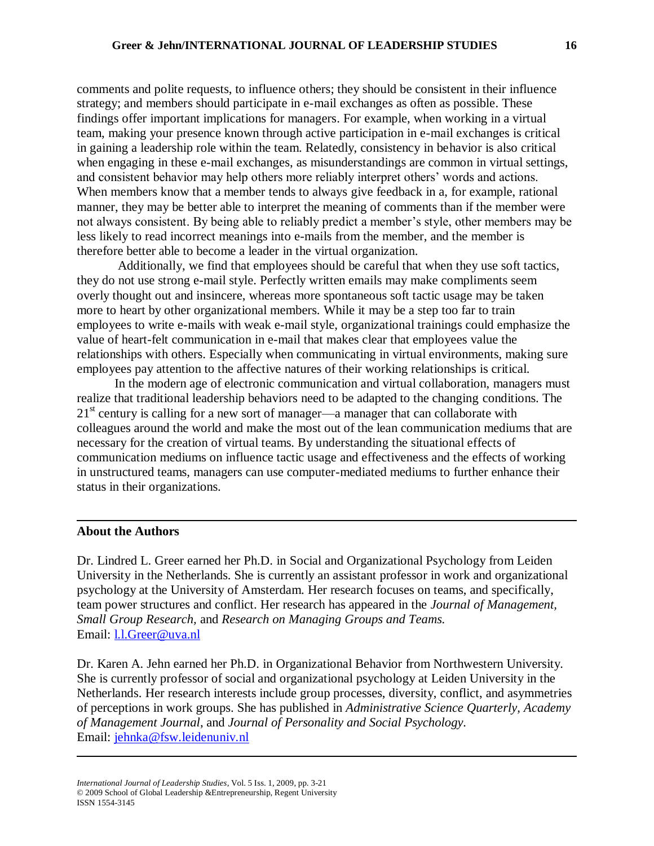comments and polite requests, to influence others; they should be consistent in their influence strategy; and members should participate in e-mail exchanges as often as possible. These findings offer important implications for managers. For example, when working in a virtual team, making your presence known through active participation in e-mail exchanges is critical in gaining a leadership role within the team. Relatedly, consistency in behavior is also critical when engaging in these e-mail exchanges, as misunderstandings are common in virtual settings, and consistent behavior may help others more reliably interpret others' words and actions. When members know that a member tends to always give feedback in a, for example, rational manner, they may be better able to interpret the meaning of comments than if the member were not always consistent. By being able to reliably predict a member's style, other members may be less likely to read incorrect meanings into e-mails from the member, and the member is therefore better able to become a leader in the virtual organization.

Additionally, we find that employees should be careful that when they use soft tactics, they do not use strong e-mail style. Perfectly written emails may make compliments seem overly thought out and insincere, whereas more spontaneous soft tactic usage may be taken more to heart by other organizational members. While it may be a step too far to train employees to write e-mails with weak e-mail style, organizational trainings could emphasize the value of heart-felt communication in e-mail that makes clear that employees value the relationships with others. Especially when communicating in virtual environments, making sure employees pay attention to the affective natures of their working relationships is critical.

In the modern age of electronic communication and virtual collaboration, managers must realize that traditional leadership behaviors need to be adapted to the changing conditions. The  $21<sup>st</sup>$  century is calling for a new sort of manager—a manager that can collaborate with colleagues around the world and make the most out of the lean communication mediums that are necessary for the creation of virtual teams. By understanding the situational effects of communication mediums on influence tactic usage and effectiveness and the effects of working in unstructured teams, managers can use computer-mediated mediums to further enhance their status in their organizations.

## **About the Authors**

Dr. Lindred L. Greer earned her Ph.D. in Social and Organizational Psychology from Leiden University in the Netherlands. She is currently an assistant professor in work and organizational psychology at the University of Amsterdam. Her research focuses on teams, and specifically, team power structures and conflict. Her research has appeared in the *Journal of Management, Small Group Research,* and *Research on Managing Groups and Teams.* Email: [l.l.Greer@uva.nl](mailto:l.l.Greer@uva.nl)

Dr. Karen A. Jehn earned her Ph.D. in Organizational Behavior from Northwestern University. She is currently professor of social and organizational psychology at Leiden University in the Netherlands. Her research interests include group processes, diversity, conflict, and asymmetries of perceptions in work groups. She has published in *Administrative Science Quarterly, Academy of Management Journal*, and *Journal of Personality and Social Psychology.* Email: [jehnka@fsw.leidenuniv.nl](mailto:jehnka@fsw.leidenuniv.nl)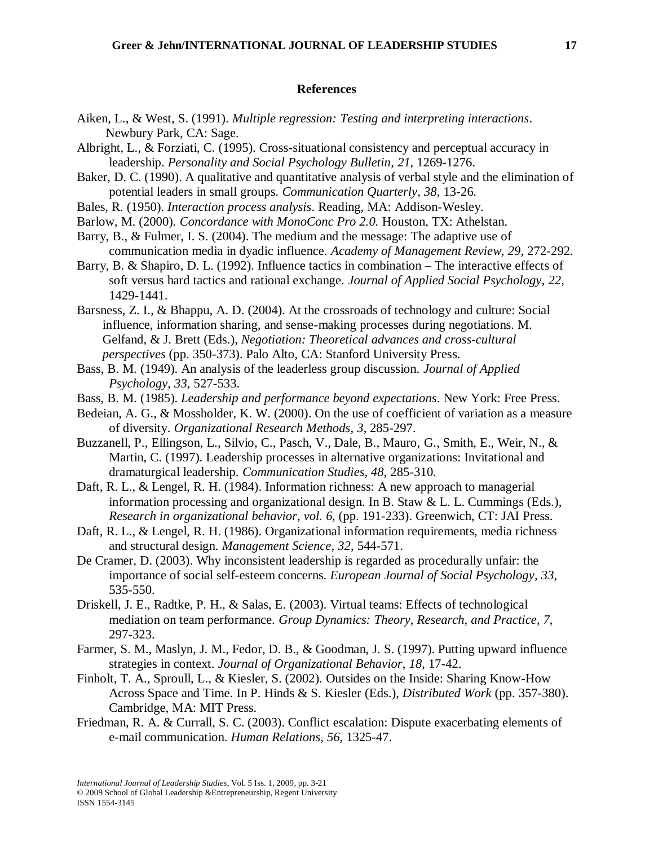#### **References**

- Aiken, L., & West, S. (1991). *Multiple regression: Testing and interpreting interactions*. Newbury Park, CA: Sage.
- Albright, L., & Forziati, C. (1995). Cross-situational consistency and perceptual accuracy in leadership. *Personality and Social Psychology Bulletin*, *21*, 1269-1276.
- Baker, D. C. (1990). A qualitative and quantitative analysis of verbal style and the elimination of potential leaders in small groups. *Communication Quarterly*, *38*, 13-26.
- Bales, R. (1950). *Interaction process analysis*. Reading, MA: Addison-Wesley.
- Barlow, M. (2000). *Concordance with MonoConc Pro 2.0.* Houston, TX: Athelstan.
- Barry, B., & Fulmer, I. S. (2004). The medium and the message: The adaptive use of communication media in dyadic influence. *Academy of Management Review*, *29*, 272-292.
- Barry, B. & Shapiro, D. L. (1992). Influence tactics in combination The interactive effects of soft versus hard tactics and rational exchange. *Journal of Applied Social Psychology*, *22*, 1429-1441.
- Barsness, Z. I., & Bhappu, A. D. (2004). At the crossroads of technology and culture: Social influence, information sharing, and sense-making processes during negotiations. M. Gelfand, & J. Brett (Eds.), *Negotiation: Theoretical advances and cross-cultural perspectives* (pp. 350-373). Palo Alto, CA: Stanford University Press.
- Bass, B. M. (1949). An analysis of the leaderless group discussion. *Journal of Applied Psychology*, *33*, 527-533.
- Bass, B. M. (1985). *Leadership and performance beyond expectations*. New York: Free Press.
- Bedeian, A. G., & Mossholder, K. W. (2000). On the use of coefficient of variation as a measure of diversity. *Organizational Research Methods*, *3*, 285-297.
- Buzzanell, P., Ellingson, L., Silvio, C., Pasch, V., Dale, B., Mauro, G., Smith, E., Weir, N., & Martin, C. (1997). Leadership processes in alternative organizations: Invitational and dramaturgical leadership. *Communication Studies*, *48*, 285-310.
- Daft, R. L., & Lengel, R. H. (1984). Information richness: A new approach to managerial information processing and organizational design. In B. Staw & L. L. Cummings (Eds.), *Research in organizational behavior*, *vol. 6,* (pp. 191-233). Greenwich, CT: JAI Press.
- Daft, R. L., & Lengel, R. H. (1986). Organizational information requirements, media richness and structural design. *Management Science*, *32*, 544-571.
- De Cramer, D. (2003). Why inconsistent leadership is regarded as procedurally unfair: the importance of social self-esteem concerns. *European Journal of Social Psychology, 33*, 535-550.
- Driskell, J. E., Radtke, P. H., & Salas, E. (2003). Virtual teams: Effects of technological mediation on team performance. *Group Dynamics: Theory, Research, and Practice*, *7*, 297-323.
- Farmer, S. M., Maslyn, J. M., Fedor, D. B., & Goodman, J. S. (1997). Putting upward influence strategies in context. *Journal of Organizational Behavior*, *18*, 17-42.
- Finholt, T. A., Sproull, L., & Kiesler, S. (2002). Outsides on the Inside: Sharing Know-How Across Space and Time. In P. Hinds & S. Kiesler (Eds.), *Distributed Work* (pp. 357-380). Cambridge, MA: MIT Press.
- Friedman, R. A. & Currall, S. C. (2003). Conflict escalation: Dispute exacerbating elements of e-mail communication. *Human Relations*, *56*, 1325-47.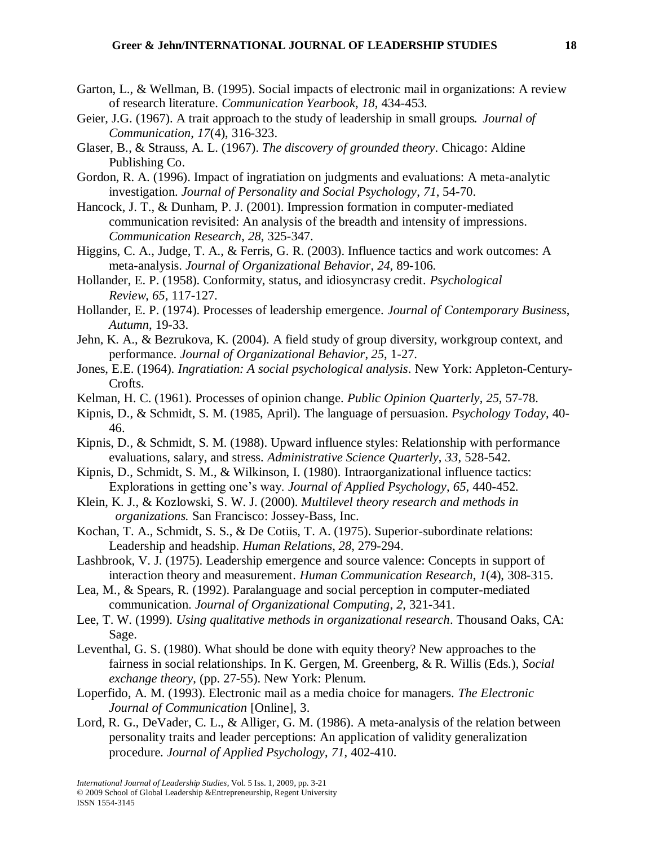- Garton, L., & Wellman, B. (1995). Social impacts of electronic mail in organizations: A review of research literature. *Communication Yearbook*, *18*, 434-453.
- Geier, J.G. (1967). A trait approach to the study of leadership in small groups*. Journal of Communication*, *17*(4), 316-323.
- Glaser, B., & Strauss, A. L. (1967). *The discovery of grounded theory*. Chicago: Aldine Publishing Co.
- Gordon, R. A. (1996). Impact of ingratiation on judgments and evaluations: A meta-analytic investigation. *Journal of Personality and Social Psychology*, *71*, 54-70.
- Hancock, J. T., & Dunham, P. J. (2001). Impression formation in computer-mediated communication revisited: An analysis of the breadth and intensity of impressions. *Communication Research*, *28*, 325-347.
- Higgins, C. A., Judge, T. A., & Ferris, G. R. (2003). Influence tactics and work outcomes: A meta-analysis. *Journal of Organizational Behavior*, *24*, 89-106.
- Hollander, E. P. (1958). Conformity, status, and idiosyncrasy credit*. Psychological Review*, *65*, 117-127.
- Hollander, E. P. (1974). Processes of leadership emergence. *Journal of Contemporary Business*, *Autumn*, 19-33.
- Jehn, K. A., & Bezrukova, K. (2004). A field study of group diversity, workgroup context, and performance. *Journal of Organizational Behavior*, *25*, 1-27.
- Jones, E.E. (1964). *Ingratiation: A social psychological analysis*. New York: Appleton-Century-Crofts.
- Kelman, H. C. (1961). Processes of opinion change. *Public Opinion Quarterly*, *25*, 57-78.
- Kipnis, D., & Schmidt, S. M. (1985, April). The language of persuasion. *Psychology Today*, 40- 46.
- Kipnis, D., & Schmidt, S. M. (1988). Upward influence styles: Relationship with performance evaluations, salary, and stress. *Administrative Science Quarterly*, *33*, 528-542.
- Kipnis, D., Schmidt, S. M., & Wilkinson, I. (1980). Intraorganizational influence tactics: Explorations in getting one's way. *Journal of Applied Psychology*, *65*, 440-452.
- Klein, K. J., & Kozlowski, S. W. J. (2000). *Multilevel theory research and methods in organizations.* San Francisco: Jossey-Bass, Inc.
- Kochan, T. A., Schmidt, S. S., & De Cotiis, T. A. (1975). Superior-subordinate relations: Leadership and headship. *Human Relations*, *28*, 279-294.
- Lashbrook, V. J. (1975). Leadership emergence and source valence: Concepts in support of interaction theory and measurement. *Human Communication Research*, *1*(4), 308-315.
- Lea, M., & Spears, R. (1992). Paralanguage and social perception in computer-mediated communication. *Journal of Organizational Computing*, *2*, 321-341.
- Lee, T. W. (1999). *Using qualitative methods in organizational research*. Thousand Oaks, CA: Sage.
- Leventhal, G. S. (1980). What should be done with equity theory? New approaches to the fairness in social relationships. In K. Gergen, M. Greenberg, & R. Willis (Eds.), *Social exchange theory*, (pp. 27-55). New York: Plenum.
- Loperfido, A. M. (1993). Electronic mail as a media choice for managers. *The Electronic Journal of Communication* [Online], 3.
- Lord, R. G., DeVader, C. L., & Alliger, G. M. (1986). A meta-analysis of the relation between personality traits and leader perceptions: An application of validity generalization procedure. *Journal of Applied Psychology*, *71*, 402-410.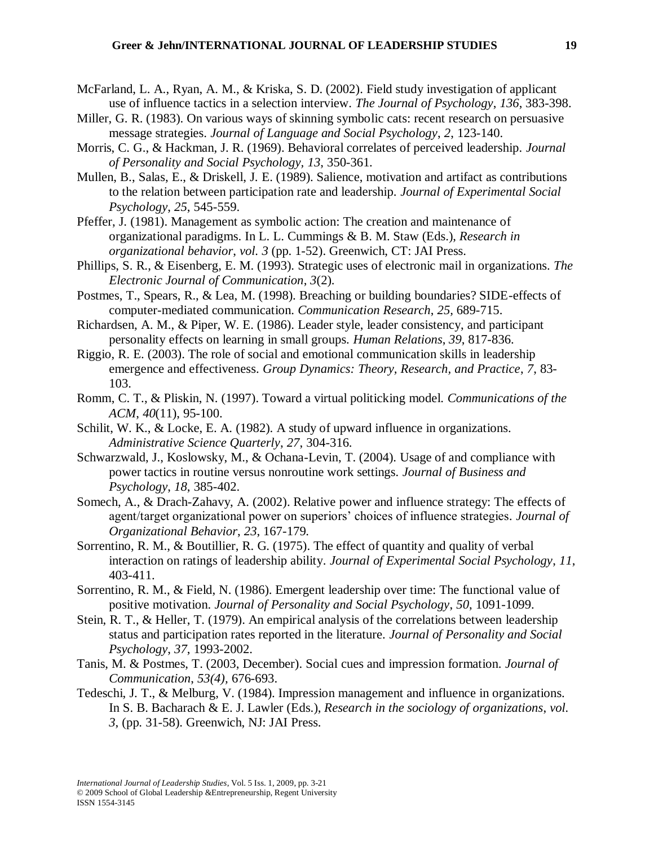- McFarland, L. A., Ryan, A. M., & Kriska, S. D. (2002). Field study investigation of applicant use of influence tactics in a selection interview. *The Journal of Psychology*, *136*, 383-398.
- Miller, G. R. (1983). On various ways of skinning symbolic cats: recent research on persuasive message strategies. *Journal of Language and Social Psychology*, *2*, 123-140.
- Morris, C. G., & Hackman, J. R. (1969). Behavioral correlates of perceived leadership. *Journal of Personality and Social Psychology, 13*, 350-361.
- Mullen, B., Salas, E., & Driskell, J. E. (1989). Salience, motivation and artifact as contributions to the relation between participation rate and leadership. *Journal of Experimental Social Psychology*, *25*, 545-559.
- Pfeffer, J. (1981). Management as symbolic action: The creation and maintenance of organizational paradigms. In L. L. Cummings & B. M. Staw (Eds.), *Research in organizational behavior*, *vol. 3* (pp. 1-52). Greenwich, CT: JAI Press.
- Phillips, S. R., & Eisenberg, E. M. (1993). Strategic uses of electronic mail in organizations. *The Electronic Journal of Communication*, *3*(2).
- Postmes, T., Spears, R., & Lea, M. (1998). Breaching or building boundaries? SIDE-effects of computer-mediated communication. *Communication Research*, *25,* 689-715.
- Richardsen, A. M., & Piper, W. E. (1986). Leader style, leader consistency, and participant personality effects on learning in small groups. *Human Relations*, *39*, 817-836.
- Riggio, R. E. (2003). The role of social and emotional communication skills in leadership emergence and effectiveness. *Group Dynamics: Theory, Research, and Practice*, *7*, 83- 103.
- Romm, C. T., & Pliskin, N. (1997). Toward a virtual politicking model. *Communications of the ACM*, *40*(11), 95-100.
- Schilit, W. K., & Locke, E. A. (1982). A study of upward influence in organizations. *Administrative Science Quarterly*, *27*, 304-316.
- Schwarzwald, J., Koslowsky, M., & Ochana-Levin, T. (2004). Usage of and compliance with power tactics in routine versus nonroutine work settings*. Journal of Business and Psychology*, *18*, 385-402.
- Somech, A., & Drach-Zahavy, A. (2002). Relative power and influence strategy: The effects of agent/target organizational power on superiors' choices of influence strategies*. Journal of Organizational Behavior*, *23*, 167-179.
- Sorrentino, R. M., & Boutillier, R. G. (1975). The effect of quantity and quality of verbal interaction on ratings of leadership ability. *Journal of Experimental Social Psychology*, *11*, 403-411.
- Sorrentino, R. M., & Field, N. (1986). Emergent leadership over time: The functional value of positive motivation. *Journal of Personality and Social Psychology*, *50*, 1091-1099.
- Stein, R. T., & Heller, T. (1979). An empirical analysis of the correlations between leadership status and participation rates reported in the literature. *Journal of Personality and Social Psychology*, *37*, 1993-2002.
- Tanis, M. & Postmes, T. (2003, December). Social cues and impression formation. *Journal of Communication*, *53(4),* 676-693.
- Tedeschi, J. T., & Melburg, V. (1984). Impression management and influence in organizations. In S. B. Bacharach & E. J. Lawler (Eds.), *Research in the sociology of organizations*, *vol. 3*, (pp. 31-58). Greenwich, NJ: JAI Press.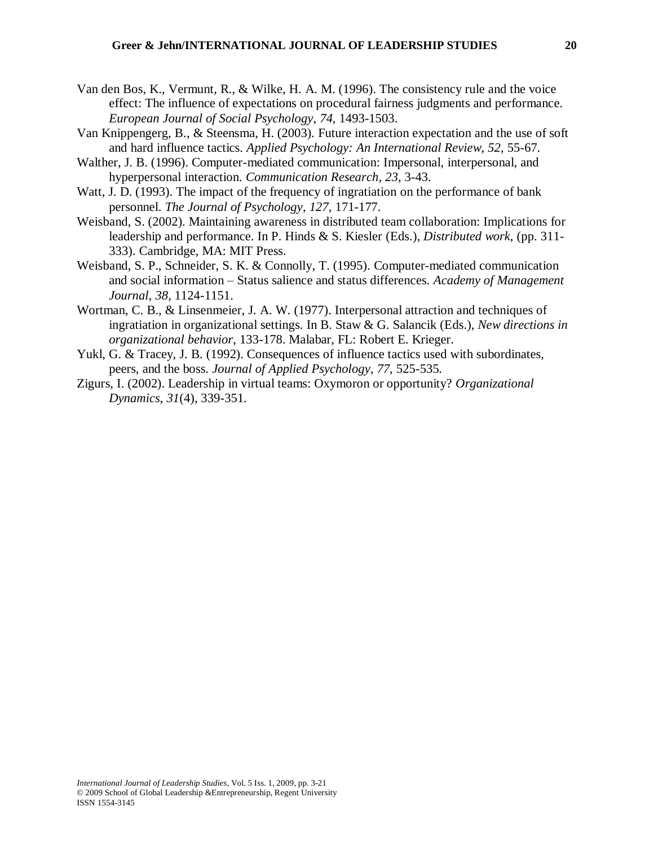- Van den Bos, K., Vermunt, R., & Wilke, H. A. M. (1996). The consistency rule and the voice effect: The influence of expectations on procedural fairness judgments and performance. *European Journal of Social Psychology*, *74*, 1493-1503.
- Van Knippengerg, B., & Steensma, H. (2003). Future interaction expectation and the use of soft and hard influence tactics. *Applied Psychology: An International Review*, *52*, 55-67.
- Walther, J. B. (1996). Computer-mediated communication: Impersonal, interpersonal, and hyperpersonal interaction. *Communication Research*, *23*, 3-43.
- Watt, J. D. (1993). The impact of the frequency of ingratiation on the performance of bank personnel. *The Journal of Psychology*, *127*, 171-177.
- Weisband, S. (2002). Maintaining awareness in distributed team collaboration: Implications for leadership and performance. In P. Hinds & S. Kiesler (Eds.), *Distributed work*, (pp. 311- 333). Cambridge, MA: MIT Press.
- Weisband, S. P., Schneider, S. K. & Connolly, T. (1995). Computer-mediated communication and social information – Status salience and status differences. *Academy of Management Journal*, *38*, 1124-1151.
- Wortman, C. B., & Linsenmeier, J. A. W. (1977). Interpersonal attraction and techniques of ingratiation in organizational settings. In B. Staw & G. Salancik (Eds.), *New directions in organizational behavior*, 133-178. Malabar, FL: Robert E. Krieger.
- Yukl, G. & Tracey, J. B. (1992). Consequences of influence tactics used with subordinates, peers, and the boss. *Journal of Applied Psychology*, *77*, 525-535.
- Zigurs, I. (2002). Leadership in virtual teams: Oxymoron or opportunity? *Organizational Dynamics*, *31*(4), 339-351.